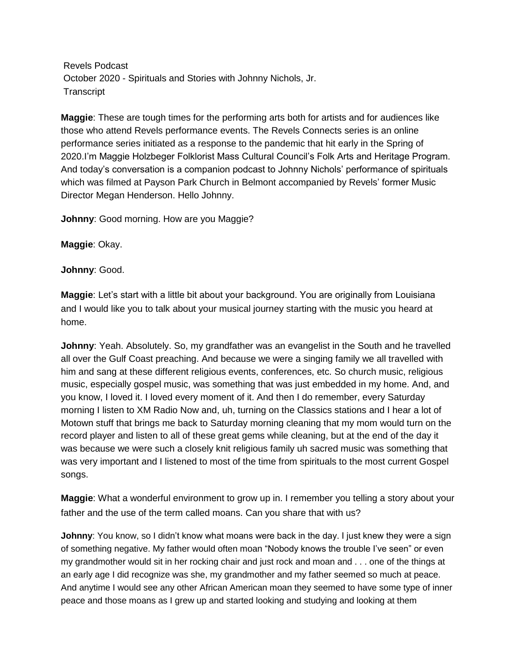Revels Podcast October 2020 - Spirituals and Stories with Johnny Nichols, Jr. **Transcript** 

**Maggie**: These are tough times for the performing arts both for artists and for audiences like those who attend Revels performance events. The Revels Connects series is an online performance series initiated as a response to the pandemic that hit early in the Spring of 2020.I'm Maggie Holzbeger Folklorist Mass Cultural Council's Folk Arts and Heritage Program. And today's conversation is a companion podcast to Johnny Nichols' performance of spirituals which was filmed at Payson Park Church in Belmont accompanied by Revels' former Music Director Megan Henderson. Hello Johnny.

**Johnny**: Good morning. How are you Maggie?

**Maggie**: Okay.

**Johnny**: Good.

**Maggie**: Let's start with a little bit about your background. You are originally from Louisiana and I would like you to talk about your musical journey starting with the music you heard at home.

**Johnny**: Yeah. Absolutely. So, my grandfather was an evangelist in the South and he travelled all over the Gulf Coast preaching. And because we were a singing family we all travelled with him and sang at these different religious events, conferences, etc. So church music, religious music, especially gospel music, was something that was just embedded in my home. And, and you know, I loved it. I loved every moment of it. And then I do remember, every Saturday morning I listen to XM Radio Now and, uh, turning on the Classics stations and I hear a lot of Motown stuff that brings me back to Saturday morning cleaning that my mom would turn on the record player and listen to all of these great gems while cleaning, but at the end of the day it was because we were such a closely knit religious family uh sacred music was something that was very important and I listened to most of the time from spirituals to the most current Gospel songs.

**Maggie**: What a wonderful environment to grow up in. I remember you telling a story about your father and the use of the term called moans. Can you share that with us?

**Johnny**: You know, so I didn't know what moans were back in the day. I just knew they were a sign of something negative. My father would often moan "Nobody knows the trouble I've seen" or even my grandmother would sit in her rocking chair and just rock and moan and . . . one of the things at an early age I did recognize was she, my grandmother and my father seemed so much at peace. And anytime I would see any other African American moan they seemed to have some type of inner peace and those moans as I grew up and started looking and studying and looking at them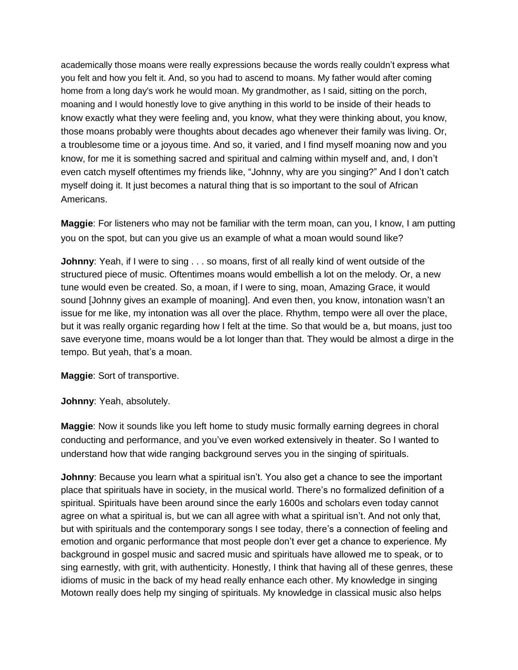academically those moans were really expressions because the words really couldn't express what you felt and how you felt it. And, so you had to ascend to moans. My father would after coming home from a long day's work he would moan. My grandmother, as I said, sitting on the porch, moaning and I would honestly love to give anything in this world to be inside of their heads to know exactly what they were feeling and, you know, what they were thinking about, you know, those moans probably were thoughts about decades ago whenever their family was living. Or, a troublesome time or a joyous time. And so, it varied, and I find myself moaning now and you know, for me it is something sacred and spiritual and calming within myself and, and, I don't even catch myself oftentimes my friends like, "Johnny, why are you singing?" And I don't catch myself doing it. It just becomes a natural thing that is so important to the soul of African Americans.

**Maggie**: For listeners who may not be familiar with the term moan, can you, I know, I am putting you on the spot, but can you give us an example of what a moan would sound like?

**Johnny:** Yeah, if I were to sing . . . so moans, first of all really kind of went outside of the structured piece of music. Oftentimes moans would embellish a lot on the melody. Or, a new tune would even be created. So, a moan, if I were to sing, moan, Amazing Grace, it would sound [Johnny gives an example of moaning]. And even then, you know, intonation wasn't an issue for me like, my intonation was all over the place. Rhythm, tempo were all over the place, but it was really organic regarding how I felt at the time. So that would be a, but moans, just too save everyone time, moans would be a lot longer than that. They would be almost a dirge in the tempo. But yeah, that's a moan.

**Maggie**: Sort of transportive.

**Johnny**: Yeah, absolutely.

**Maggie**: Now it sounds like you left home to study music formally earning degrees in choral conducting and performance, and you've even worked extensively in theater. So I wanted to understand how that wide ranging background serves you in the singing of spirituals.

**Johnny**: Because you learn what a spiritual isn't. You also get a chance to see the important place that spirituals have in society, in the musical world. There's no formalized definition of a spiritual. Spirituals have been around since the early 1600s and scholars even today cannot agree on what a spiritual is, but we can all agree with what a spiritual isn't. And not only that, but with spirituals and the contemporary songs I see today, there's a connection of feeling and emotion and organic performance that most people don't ever get a chance to experience. My background in gospel music and sacred music and spirituals have allowed me to speak, or to sing earnestly, with grit, with authenticity. Honestly, I think that having all of these genres, these idioms of music in the back of my head really enhance each other. My knowledge in singing Motown really does help my singing of spirituals. My knowledge in classical music also helps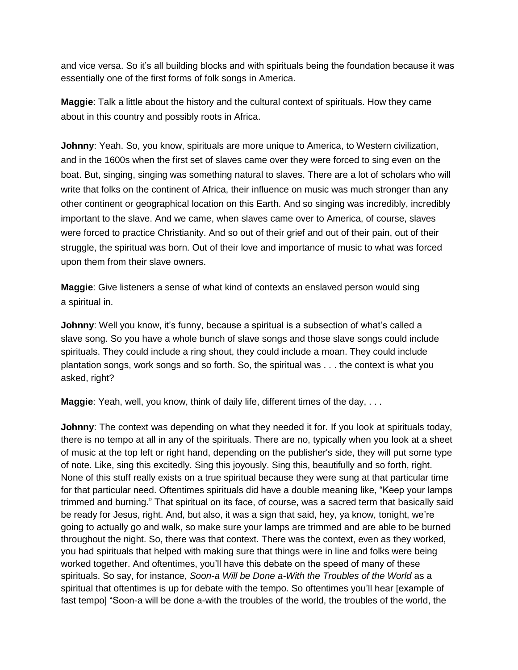and vice versa. So it's all building blocks and with spirituals being the foundation because it was essentially one of the first forms of folk songs in America.

**Maggie**: Talk a little about the history and the cultural context of spirituals. How they came about in this country and possibly roots in Africa.

**Johnny**: Yeah. So, you know, spirituals are more unique to America, to Western civilization, and in the 1600s when the first set of slaves came over they were forced to sing even on the boat. But, singing, singing was something natural to slaves. There are a lot of scholars who will write that folks on the continent of Africa, their influence on music was much stronger than any other continent or geographical location on this Earth. And so singing was incredibly, incredibly important to the slave. And we came, when slaves came over to America, of course, slaves were forced to practice Christianity. And so out of their grief and out of their pain, out of their struggle, the spiritual was born. Out of their love and importance of music to what was forced upon them from their slave owners.

**Maggie**: Give listeners a sense of what kind of contexts an enslaved person would sing a spiritual in.

Johnny: Well you know, it's funny, because a spiritual is a subsection of what's called a slave song. So you have a whole bunch of slave songs and those slave songs could include spirituals. They could include a ring shout, they could include a moan. They could include plantation songs, work songs and so forth. So, the spiritual was . . . the context is what you asked, right?

**Maggie**: Yeah, well, you know, think of daily life, different times of the day, . . .

**Johnny**: The context was depending on what they needed it for. If you look at spirituals today, there is no tempo at all in any of the spirituals. There are no, typically when you look at a sheet of music at the top left or right hand, depending on the publisher's side, they will put some type of note. Like, sing this excitedly. Sing this joyously. Sing this, beautifully and so forth, right. None of this stuff really exists on a true spiritual because they were sung at that particular time for that particular need. Oftentimes spirituals did have a double meaning like, "Keep your lamps trimmed and burning." That spiritual on its face, of course, was a sacred term that basically said be ready for Jesus, right. And, but also, it was a sign that said, hey, ya know, tonight, we're going to actually go and walk, so make sure your lamps are trimmed and are able to be burned throughout the night. So, there was that context. There was the context, even as they worked, you had spirituals that helped with making sure that things were in line and folks were being worked together. And oftentimes, you'll have this debate on the speed of many of these spirituals. So say, for instance, *Soon-a Will be Done a-With the Troubles of the World* as a spiritual that oftentimes is up for debate with the tempo. So oftentimes you'll hear [example of fast tempo] "Soon-a will be done a-with the troubles of the world, the troubles of the world, the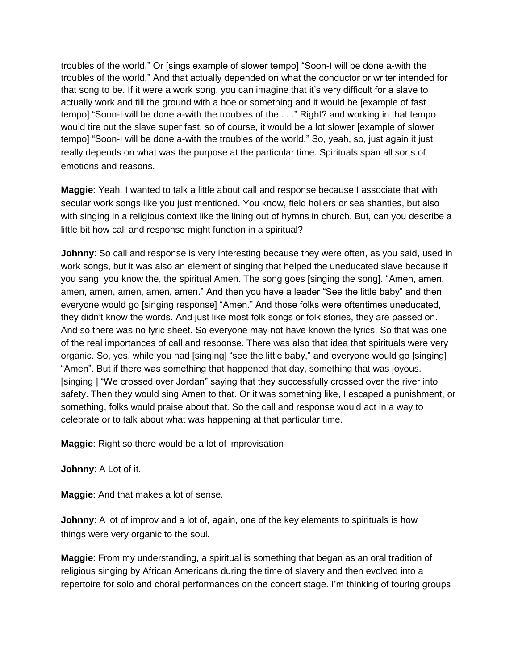troubles of the world." Or [sings example of slower tempo] "Soon-I will be done a-with the troubles of the world." And that actually depended on what the conductor or writer intended for that song to be. If it were a work song, you can imagine that it's very difficult for a slave to actually work and till the ground with a hoe or something and it would be [example of fast tempo] "Soon-I will be done a-with the troubles of the . . ." Right? and working in that tempo would tire out the slave super fast, so of course, it would be a lot slower [example of slower tempo] "Soon-I will be done a-with the troubles of the world." So, yeah, so, just again it just really depends on what was the purpose at the particular time. Spirituals span all sorts of emotions and reasons.

**Maggie**: Yeah. I wanted to talk a little about call and response because I associate that with secular work songs like you just mentioned. You know, field hollers or sea shanties, but also with singing in a religious context like the lining out of hymns in church. But, can you describe a little bit how call and response might function in a spiritual?

**Johnny**: So call and response is very interesting because they were often, as you said, used in work songs, but it was also an element of singing that helped the uneducated slave because if you sang, you know the, the spiritual Amen. The song goes [singing the song]. "Amen, amen, amen, amen, amen, amen, amen." And then you have a leader "See the little baby" and then everyone would go [singing response] "Amen." And those folks were oftentimes uneducated, they didn't know the words. And just like most folk songs or folk stories, they are passed on. And so there was no lyric sheet. So everyone may not have known the lyrics. So that was one of the real importances of call and response. There was also that idea that spirituals were very organic. So, yes, while you had [singing] "see the little baby," and everyone would go [singing] "Amen". But if there was something that happened that day, something that was joyous. [singing ] "We crossed over Jordan" saying that they successfully crossed over the river into safety. Then they would sing Amen to that. Or it was something like, I escaped a punishment, or something, folks would praise about that. So the call and response would act in a way to celebrate or to talk about what was happening at that particular time.

**Maggie**: Right so there would be a lot of improvisation

**Johnny**: A Lot of it.

**Maggie**: And that makes a lot of sense.

**Johnny:** A lot of improv and a lot of, again, one of the key elements to spirituals is how things were very organic to the soul.

**Maggie**: From my understanding, a spiritual is something that began as an oral tradition of religious singing by African Americans during the time of slavery and then evolved into a repertoire for solo and choral performances on the concert stage. I'm thinking of touring groups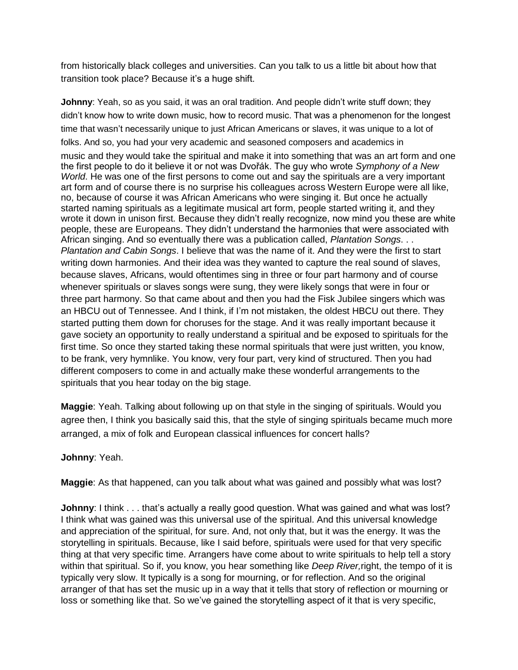from historically black colleges and universities. Can you talk to us a little bit about how that transition took place? Because it's a huge shift.

**Johnny**: Yeah, so as you said, it was an oral tradition. And people didn't write stuff down; they didn't know how to write down music, how to record music. That was a phenomenon for the longest time that wasn't necessarily unique to just African Americans or slaves, it was unique to a lot of folks. And so, you had your very academic and seasoned composers and academics in music and they would take the spiritual and make it into something that was an art form and one the first people to do it believe it or not was Dvořák. The guy who wrote *Symphony of a New World*. He was one of the first persons to come out and say the spirituals are a very important art form and of course there is no surprise his colleagues across Western Europe were all like, no, because of course it was African Americans who were singing it. But once he actually started naming spirituals as a legitimate musical art form, people started writing it, and they wrote it down in unison first. Because they didn't really recognize, now mind you these are white people, these are Europeans. They didn't understand the harmonies that were associated with African singing. And so eventually there was a publication called, *Plantation Songs*. . . *Plantation and Cabin Songs*. I believe that was the name of it. And they were the first to start writing down harmonies. And their idea was they wanted to capture the real sound of slaves, because slaves, Africans, would oftentimes sing in three or four part harmony and of course whenever spirituals or slaves songs were sung, they were likely songs that were in four or three part harmony. So that came about and then you had the Fisk Jubilee singers which was an HBCU out of Tennessee. And I think, if I'm not mistaken, the oldest HBCU out there. They started putting them down for choruses for the stage. And it was really important because it gave society an opportunity to really understand a spiritual and be exposed to spirituals for the first time. So once they started taking these normal spirituals that were just written, you know, to be frank, very hymnlike. You know, very four part, very kind of structured. Then you had different composers to come in and actually make these wonderful arrangements to the spirituals that you hear today on the big stage.

**Maggie**: Yeah. Talking about following up on that style in the singing of spirituals. Would you agree then, I think you basically said this, that the style of singing spirituals became much more arranged, a mix of folk and European classical influences for concert halls?

## **Johnny**: Yeah.

**Maggie**: As that happened, can you talk about what was gained and possibly what was lost?

**Johnny**: I think . . . that's actually a really good question. What was gained and what was lost? I think what was gained was this universal use of the spiritual. And this universal knowledge and appreciation of the spiritual, for sure. And, not only that, but it was the energy. It was the storytelling in spirituals. Because, like I said before, spirituals were used for that very specific thing at that very specific time. Arrangers have come about to write spirituals to help tell a story within that spiritual. So if, you know, you hear something like *Deep River,*right, the tempo of it is typically very slow. It typically is a song for mourning, or for reflection. And so the original arranger of that has set the music up in a way that it tells that story of reflection or mourning or loss or something like that. So we've gained the storytelling aspect of it that is very specific,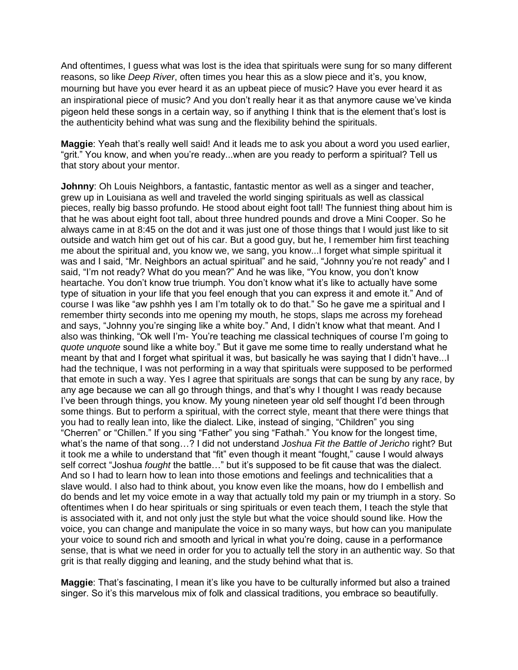And oftentimes, I guess what was lost is the idea that spirituals were sung for so many different reasons, so like *Deep River*, often times you hear this as a slow piece and it's, you know, mourning but have you ever heard it as an upbeat piece of music? Have you ever heard it as an inspirational piece of music? And you don't really hear it as that anymore cause we've kinda pigeon held these songs in a certain way, so if anything I think that is the element that's lost is the authenticity behind what was sung and the flexibility behind the spirituals.

**Maggie**: Yeah that's really well said! And it leads me to ask you about a word you used earlier, "grit." You know, and when you're ready...when are you ready to perform a spiritual? Tell us that story about your mentor.

**Johnny**: Oh Louis Neighbors, a fantastic, fantastic mentor as well as a singer and teacher, grew up in Louisiana as well and traveled the world singing spirituals as well as classical pieces, really big basso profundo. He stood about eight foot tall! The funniest thing about him is that he was about eight foot tall, about three hundred pounds and drove a Mini Cooper. So he always came in at 8:45 on the dot and it was just one of those things that I would just like to sit outside and watch him get out of his car. But a good guy, but he, I remember him first teaching me about the spiritual and, you know we, we sang, you know...I forget what simple spiritual it was and I said, "Mr. Neighbors an actual spiritual" and he said, "Johnny you're not ready" and I said, "I'm not ready? What do you mean?" And he was like, "You know, you don't know heartache. You don't know true triumph. You don't know what it's like to actually have some type of situation in your life that you feel enough that you can express it and emote it." And of course I was like "aw pshhh yes I am I'm totally ok to do that." So he gave me a spiritual and I remember thirty seconds into me opening my mouth, he stops, slaps me across my forehead and says, "Johnny you're singing like a white boy." And, I didn't know what that meant. And I also was thinking, "Ok well I'm- You're teaching me classical techniques of course I'm going to *quote unquote* sound like a white boy." But it gave me some time to really understand what he meant by that and I forget what spiritual it was, but basically he was saying that I didn't have...I had the technique, I was not performing in a way that spirituals were supposed to be performed that emote in such a way. Yes I agree that spirituals are songs that can be sung by any race, by any age because we can all go through things, and that's why I thought I was ready because I've been through things, you know. My young nineteen year old self thought I'd been through some things. But to perform a spiritual, with the correct style, meant that there were things that you had to really lean into, like the dialect. Like, instead of singing, "Children" you sing "Cherren" or "Chillen." If you sing "Father" you sing "Fathah." You know for the longest time, what's the name of that song…? I did not understand *Joshua Fit the Battle of Jericho* right? But it took me a while to understand that "fit" even though it meant "fought," cause I would always self correct "Joshua *fought* the battle…" but it's supposed to be fit cause that was the dialect. And so I had to learn how to lean into those emotions and feelings and technicalities that a slave would. I also had to think about, you know even like the moans, how do I embellish and do bends and let my voice emote in a way that actually told my pain or my triumph in a story. So oftentimes when I do hear spirituals or sing spirituals or even teach them, I teach the style that is associated with it, and not only just the style but what the voice should sound like. How the voice, you can change and manipulate the voice in so many ways, but how can you manipulate your voice to sound rich and smooth and lyrical in what you're doing, cause in a performance sense, that is what we need in order for you to actually tell the story in an authentic way. So that grit is that really digging and leaning, and the study behind what that is.

**Maggie**: That's fascinating, I mean it's like you have to be culturally informed but also a trained singer. So it's this marvelous mix of folk and classical traditions, you embrace so beautifully.